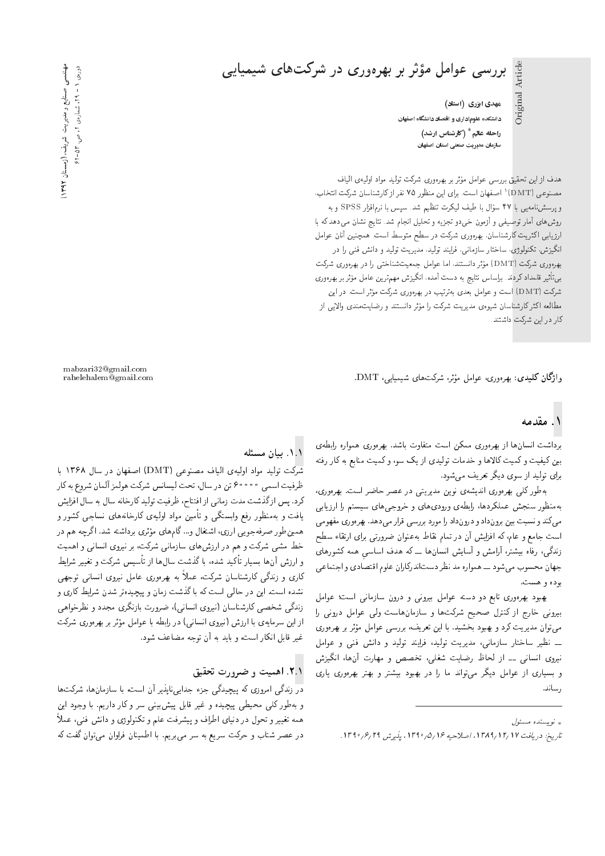Article Original Article Original

بررسی عوامل مؤثر بر بهرهوری در شرکتهای شیمیایی

ھەسنىسى<br>مە دوروی ۱ - ۲۹، شماروی ۲، ص. ۵۳–۶۲ دوره ی ۱ = ۲۹۹، شماره ی ۲، ص. ۵۲–۶۲ صنایع و مدیریت شریف . (زمستان ۱۳۹۲).

ەھدى ابزرى (استاد) دانش*کد*ه علوم!داری و اقتصاد دانشگاه اصفهان راحله عالم $^{\ast}\left($ كارشناس ارشد) سازمان مدیریت صنعتی استان اصفهان

هدف از این تحقیق بررسی عوامل مؤثر بر بهرهوری شرکت تولید مواد اولیهی الیاف<br>مدار اسلامی از ۱۷۵۲ است است. ست اراین مسینی بورسی عواس سونر بورپوروزی سونت توسیه سون ارتبیای است.<br>مصنوعی (DMT)<sup>۱</sup> اصفهان است. برای این منظور ۷۵ نفر از کارشناسان شرکت انتخاب.<br>مصنوعی (۱۳۸۳–۱۳۰ میلاد است. مرکب مصنوعی این اینما نامزده و پوسشنامهیی با ۴۷ سؤال با طیف لیکرت تنظیم شد. سپس با نرمافزار SPSS و به<br>به جام آیا توسط توسط میستون به توسط ایران ایران میستون به این مورد روشهای أمار توصیفی و أزمون خیدو تجزیه و تحلیل انجام شد. نتایج نشان میدهد که با ارزیابی اکثریت کارشناسان، بهرهوری شرکت در سطح متوسط است. همچنین آنان عوامل انگیزش، تکنولوژی، ساختار سازمانی، فرایند تولید، مدیریت تولید و دانش فنبی را در بهرەرى شركت (DMT) مؤثر دانستند، اما عوامل جمعيت شناختى را در بهرەرى شركت<br>ستىم سارىم كىلىمىدا يىلمىنىڭ - بیمتاثیر قلمداد کردند. براساس نتایج به دست آمده، انگیزش مهمترین عامل مؤثر بر بهرهوری<br>- کرد (TDA CT) .<br>. شرکت (DMT) است و عوامل بعدی بهترتیب در بهرهوری شرکت مؤثر است. در این<br>مالشماکن کاربرا و بروسلوسی کرد که سال کشمیان ر<br>ا مطالعه اکثرکارشناسان شیوهی مدیریت شرکت را مؤثر دانستند و رضایت.مندی والایبی از<br>۱۶ ـ ۱۰ ـ ۵ ـ ۶ ـ ۱۰ ـ ۱۰ ـ ۱۰ كار دراين شركت داشتند.

وا**ژگان کلیدی**: بهرهوری، عوامل مؤثر، شرکت۱مای شیمیایی، DMT ا<br>ا

### ۱. مقدمه

برداشت انسانها از بهرهورى ممكن است متفاوت باشد. بهرهورى همواره رابطهى بین کیفیت و کمیت کالاها و خدمات تولیدی از یک سو، و کمیت منابع به کار رفته برای تولید از سوی دیگر تعریف مے شود.

بهطور کلی بهرهوری اندیشهی نوین مدیریتی در عصر حاضر است. بهرهوری،<br>بهمنظور سنجش عملکردها، رابطهی ورودیهای و خروجی های سیستم را ارزیابی به منطور سنجس عمدتردها، رابطهی ورودی های و حروجی های سیستم را آرزیابی<br>محمد می تمد و سبب بین برونداد و درونداد را مورد بررسی قرار می دهد. بهرهوری مفهومی<br>ا است جامع و عام، که افزایش أن در تمام نقاط بهعنوان ضرورتی برای ارتقاء سطح زندگی، رفاه بیشتر، آرامش و آسایش انسانها ـــ که هدف اساسی همه کشورهای جهان محسوب مىشود ـــ همواره مد نظر دستاندركاران علوم اقتصادي و اجتماعى .<br>بو**ده و هست**.

بهبود بهرهوری تابع دو دسته عوامل بیرونی و درون سازمانی است؛ عوامل بیرونی خارج از کنترل صحیح شرکتها و سازمانهاست ولی عوامل درونی را می نوان مدیریت درد و بهبود بحسید. با این نعریف، بررسی عوامل مونز بر بهرهوری<br>منا י<br>. pt=wa w |vi Vv=O w O}rwD Ov}=Qi 'O}rwD C} Q}Ot '|v=tR=U Q=DN=U Q}\_v VR}ov= '=yu; CQ=yt w XYND '|reW C}=[Q ^=Lr R= |v=Uv= |wQ}v و بسیاری از عوامل دیدر می والد ما را در بهبود بیستر و بهتر بهرهوری یاری<br>ان , ساند.

mabzari32@gmail.com

# .\.\ بيان مسئله

شركت توليد مواد اوليهى الياف مصنوعي (DMT) اصفهان در سال ١٣۶٨ با ظرفيت اسمي °°°°° تن در سال، تحت ليسانس شركت هولمز ألمان شروع به كار کرد. پس ازگذشت مدت زمانی از افتتاح، ظرفیت تولید کارخانه سال به سال افزایش یافت و بهمنظور رفع وابستگی و تأمین مواد اولیهی کارخانههای نساجی کشور و همين طور صرفهجويي ارزي، استعال و... دام هاي مونري برداسته سد. ا درچه هم در<br>مطلب المصدر من حسن المصدر المصدر المصدر المصدر المصدر المصدر المصدر المصدر - حص مسی سرنب و هم در آرزس۵نای سازمانی سرنب، بر نیروی انسانی و اهمیت<br>- اینکسان اینکس بین برگزید ایرانیا به اینکش به کرده و بین بین و ارزش آنها بسیار تاکید شده، با کدشت سال۱۵ از تاسیس شرکت و تعییر شرایط<br>کلمه این محمد کلمه با این محمد اینگ داری و زندد<sub>ی</sub> دارشناسان شردت، عملاً به بهرهوری عامل نیروی انسانی توجهی<br>میدید اسلامات ایل استکشاه کرد: نشده است. این در حالی است که با گذشت زمان و پیچیدهتر شدن شرایط کاری و زندگی شخصی کارشناسان (نیروی انسانی)، ضرورت بازنگری مجدد و نظرخواهی از این سرمایه ی با ارزس (بیروی استانی) در رابطه با عوامل موتر بر بهرهوری سرنت<br>خمستان از کامل سومی ایل به آن تصدیق اعضا شده غير قابل انكار است، و بايد به أن توجه مضاعف شود.

### ۲.۱. اهمیت و ضرورت تحقیق

<mark>در</mark> زندگی امروزی که پیچیدگی جزء جدایی ناپذیر آن است، با سازمانها، شرکتها و بهطور کلبی محیطی پیچیده و غیر قابل پیشبینی سر و کار داریم. با وجود این همه تغییر و تحول در دنیای اطراف و پیشرفت علم و تکنولوژی و دانش فنی، عملاً در عصر شتاب و حرکت سریع به سر میبریم. با اطمینان فراوان میهتوان گفت که

 $\int_{\mathbb{R}}$ نو بسنده مسئول  $\mathbf{r}$ 

تاريخ: دريافت ١٣/ ١٣٩٧، اصلاحيه ١٦٥/٥/ ١٣٩٠، يذيرش ٢٩/جر ١٣٩٠.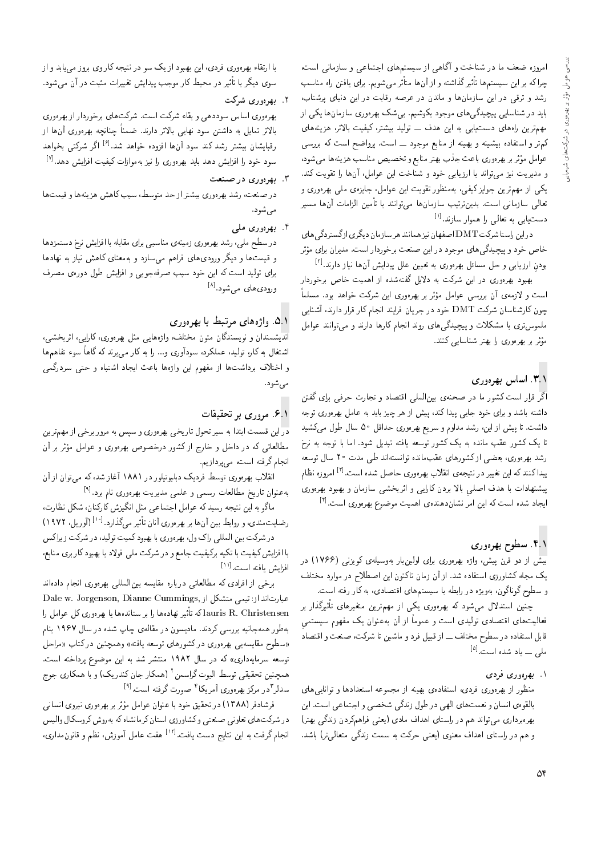امروزه ضعف ما در شناخت و أگاهي از سيستمهاى اجتماعي و سازماني است، چرا که بر این سیستمها تا تیر کداشته و از آنها متاثر میشویم. برای یافتن راه مناسب<br>میسمید رشد و ترقی در این سازمانها و ماندن در عرصه رقابت در این دنیای پرشتاب، باید در شناسایی پیچیدگی های موجود بکوشیم. بی شک بهرهوری سازمان ها یکی از مهمترین راههای دست،ابی به این هدف ـــ تولید بیشتر، کیفیت بالاتر، هزینههای كم تر و استفاده بيشينه و بهينه از منابع موجود ـــ است. پرواضح است كه بررسى عوامل مونر بر بهرهوری باعث جدب بهتر منابع و تحصیص مناسب هریشهها می سود،<br>مسلمان استفاده استفاده استفاده و استفاده و استفاده استفاده استفاده می برد. و مديريت نيز مي تواند با ارزيابي خود و شناخت اين عوامل، آنها را تقويت كند. و مدیریت نیز می واند با آرزیابی حود و سماحت این عوامل، آنها را نفویت نمد.<br>حمایت می این کنید و این مورد است. یکی از مهم رین جوایز نیفی، به منظور تقویب این عوامل، جایزهی ملی بهرهوری و<br>منا تعالمي سازماني است. بدينترتيب سازمانها مىتوانند با تأمين الزامات آنها مسير دست یابی به تعالی را هموار سازند.<sup>[۱]</sup><br>اسطاعات استان که DMTL نما

دراين راستا شركت DMT اصفهان نيز همانند هرسازمان ديگري ازگستردگي هاي حاص حود و پیچیدنی&ی موجود در این صنعت برخوردار است. مدیران برای موبر<br>۱۰ - این این این این این مورد در این این این آین این این این این این بودنِ ارزیابی و حل مسائل بهرهوری به تعیین علل پیدایش آنها نیاز دارند.<sup>[۲]</sup><br>مسائل استان

بهبود بهرهوری در این شرکت به دلایل گفتهشده از اهمیت خاص برخوردار است و لازمهی ان بررسی عوامل مؤثر بر بهرهوری این شرکت خواهد بود. مسلما<br>سیکاره با این مکتب DMET : بر اینکلیس اینکلیسا که با اینکلیسا - چون کارشناسان شرکت DMT خود در جریان فرایند انجام کار قرار دارند، آشنایی<br>بایست و سیاست کلاه ملموس تری با مشکلات و پیچیدگی های روند انجام کارها دارند و می توانند عوامل موںر بر بھرہوری را بھىر سىاسايى تىند.<br>.

#### ۳.۱. اساس بهرهوری

ا در قرار است نسور ما در صحم*ه ی* بین المل<sub>ی</sub> اقتصاد و بجارت حرفی برای نفس<br>مالیست است و است داسته باسد و برای حود جایی پیدا نید، پیس از هر چیز باید به عامل بهرهوری توجه<br>این مطالب استان است و سایت است. داشت. تا پیش از این، رشد مداوم و سریع بهرهوری حداقل ۵۰ سال طول میکشید تا یک کشور عقب مانده به یک کشور توسعه یافته تبدیل شود. اما با توجه به نرخ<br>رشد بهرهوری، بعضی ازکشورهای عقب.مانده توانستهاند طی مدت ۲۰ سال توسعه رسد بهرهوری، بعضی از نسورهای عقب ماهده توانسته اند طی مدت ۱۰ سال توسعه<br>ساخت کارسکرد است پیدا کنند که این تغییر در نتیجهی انقلاب بهرهوری حاصل شده است.<sup>[۳]</sup> امروزه نظام<br>میسا با ایران است ایران الاد پیشنهادات با هدف اصلی بالا بردن کارایی و اثربخشی سازمان و بهبود بهرهوری ایجاد شده است که این امر نشاندهندهی اهمیت موضوع بهرهوری است.<sup>[۴]</sup><br>.

#### ۴.۱. سطوح بهرهوری

بیش از دو قرن پیش، واژه بهرهوری برای اولینبار بهوسیلهی کویزنی (۱۷۶۶) در یک مجله کشاورزی استفاده شد. از آن زمان تاکنون این اصطلاح در موارد مختلف و سطوح گوناگون، بهويژه در رابطه با سيستم هاى اقتصادى، به كار رفته است.

ىي<sub>ر</sub>دىد<sub>ار بر</sub><br>-جنین استدلال میشود که بهرهوری یکی از مهمترین متغیرهای تأثیرگذار بر فعالیتهای اقتصادی تولیدی است و عموماً از آن به عنوان یک مفهوم سیستمی<br>تارا به بنا قابل استفاده در سطوح مختلف ـــ از قبيل فرد و ماشين تا شركت، صنعت و اقتصاد ملی ـــ یاد شده است.<sup>[۵]</sup>

۱. به<sub>ز</sub>هوری ف<sub>ر</sub>دی

منظور از بهرهوری فردی، استفادهی بهینه از مجموعه استعدادها و توانایی های بالقوهى انسان و نعمت هاى الهى در طول زندگى شخصى و اجتماعى است. اين بهرهبرداری میتواند هم در راستای اهداف مادی (یعنی فراهمکردن زندگی بهتر) و هم در راستای اهداف معنوی (یعنی حرکت به سمت زندگی متعالمیتر) باشد.

با ارتقاء بهرهوری فردی، این بهبود از یک سو در نتیجه کار وی بروز می یابد و از "OwW|t u; QO C@Ft C=Q}}eD V}=O}B ?Hwt Q=m \}Lt QO Q}F -=D =@ Qo}O |wU

۲ . بهرهو**ری شرکت**<br>بهرهوری اساس سوددهی و بقاء شرکت است. شرکتهای برخوردار از بهرهوری بهردوری اساس سوددهی و بقاء سرنب اسب. سرنب@ناع برحوردار از بهردوری<br>الاحی با ایران بالاتر تمایل به داشتن سود نهایی بالاتر دارند. ضمنا چنانچه بهرووری انها از<br>جلیل مصدر میکند کنیم رقبایشان بیشتر رشد کند سود آنها افزوده خواهد شد.<sup>[۶]</sup> اگر شرکتی بخواهد رفبایسان بیستر رسد تند سود آنها افزوده خواهد شد.<sup>ب</sup> ادر سرتنی بخواه<br>سود خود را افزایش دهد باید بهرهوری را نیز بهموازات کیفیت افزایش دهد.<sup>[۷]</sup>

#### ۳. بهرهوری در صنعت

در صنعت، رشد بهرهوری بیشتر از حد متوسط، سبب کاهش هزینهها و قیمتها می شود.

۴ بهرەورى مل*ى* 

در سطح ملی، رشد بهرهوری زمینهی مناسبی برای مقابله با افزایش نرخ دستمزدها و قیمت ها و دیگر ورودی های فراهم میسازد و به معنای کاهش نیاز به نهادها برای تولید است که این خود سبب صرفهجویی و افزایش طول دورهی مصرف ورودیهای میشود.<sup>[۸]</sup>

#### ۵.۱. واژههای مرتبط با بهرهوری

اندیشمندان و نویسندگان متون مختلف، واژههایی مثل بهرهوری، کارایی، اثربخشی، اشتغال به کار، تولید، عملکرد، سودآوری و… را به کار می برند که گاهاً سوء تفاهمها و اختلاف برداشتها از مفهوم این واژهها باعث ایجاد اشتباه و حتبی سردرگمی مه رشود.

۶.۱. **مروری بر تحقیقات**<br>درآین قسمت ابتدا به سیر تحول تاریخی بهرهوری و سپس به مرور برخی از مهمترین در این قسمت ابتدا به سیر تحول تاریخی بهرورزی و سپس به مرور برخی از مهم رین<br>با ایلمات کرد و این میلیمانیک مطالعاتی له در داخل و خارج از لسور درخصوص بهرهوری و عوامل موتر بر آن<br>از از گرفت است. انجام گرفته است، م<sub>ی</sub>پردازیم.

.<br>انقلاب بهرهوری توسط فردیک دبلیوتیلور در ۱۸۸۱ آغاز شد، که می توان از آن بهعنوان تاریخ مطالعات رسمی و علمی مدیریت بهرهوری نام برد.<sup>[۹]</sup><br>سا<sup>ر</sup> سالم

ما دو به این سیجه رسید که عوامل اجتماعی مثل انگیزس کارکبان، سکتل تصارت،<br>است سیسل استقبال استقبال استقبال استقبال استقبال استقبال استقبال رضایت.ندی، و روابط بین آن ها بر بهرهوری آنان تأثیر میگذارد.<sup>[۱۰]</sup> (آوریل، ۱۹۷۲)<br>میرکس ایران ایران ایرانی

در سرنٹ بین آلمدے رات ول، بھرہوری یا بھبود نمیت نوئیڈ، در سرنٹ زیرا نس<br>مسکنیت ایک سکت سے اسک با ''قرايس نيفيت با نكيه برنيفيت جامع و در سرنت ملي قولا د با بهبود تار برى منابع؛<br>اخليف الغصاب = الظا افزایش یافته است.<sup>[۱۱]</sup><br>مصدر اسلمان

برخی از افرادی که مطالعاتی درباره مقایسه بین انمللی بهرهوری انجام دادهاند<br>اساسی اسلامی Dale w. Jorgenson, Dianne Cummings, عبارتاند از: تيمي متشكل از<br>استحداث Dac و Cl بهطور همهجانیه بررسی کردند. مادیسون در مقالهی حاب شده در سال ۱۹۶۷ بنام lauris R. Christensen که تأثیر نهادهها را بر ستاندهها یا بهرهوری کل عوامل را «سطوح مقايسهيى بهرهوري دركشورهاي توسعه يافته» وهمچنين دركتاب «مراحل توسعه سرمایهداری» که در سال ۱۹۸۲ منتشر شد به این موضوع پرداخته است. "CU= xDN=OQB `w[wt u}= x@ OW QWDvt 1982 p=U QO xm |Q=Ox}=tQU xaUwD ' (همکار جان کندریک) و با همکاری جوج<br>گفت ایرا همچنین تحقیقی نوسط الیوب دراسمن - (همدار جان د<br>سدلر <sup>از</sup>در مرکز بهرهوری آمریکا <sup>۴</sup> صورت گرفته است.<sup>[۹]</sup><br>منصل منطقه (۱**۱** سفر)

فرشادفر (۱۳۸۸) در تحقیق خود با عنوان عوامل مؤثر بر بهرهوری نیروی انسانبی فرسادفر (۱۱۸۸) در تحقیق خود با عنوان عوامل موتر بر بهرهوری نیروی استانی<br>- کشمام شایفت میشتریکشان بهران اسکانک انشار کردند به یک به کال یا ا در سرنب های ندونی صنعتی و نساورزی استان درماستاه نه به روس دروستان والیس<br>اسطح کارها انجام گرفت به این نتایج دست یافت.<sup>[۱۲]</sup> هفت عامل آموزش، نظم و قانون $\omega$ داری،<br>.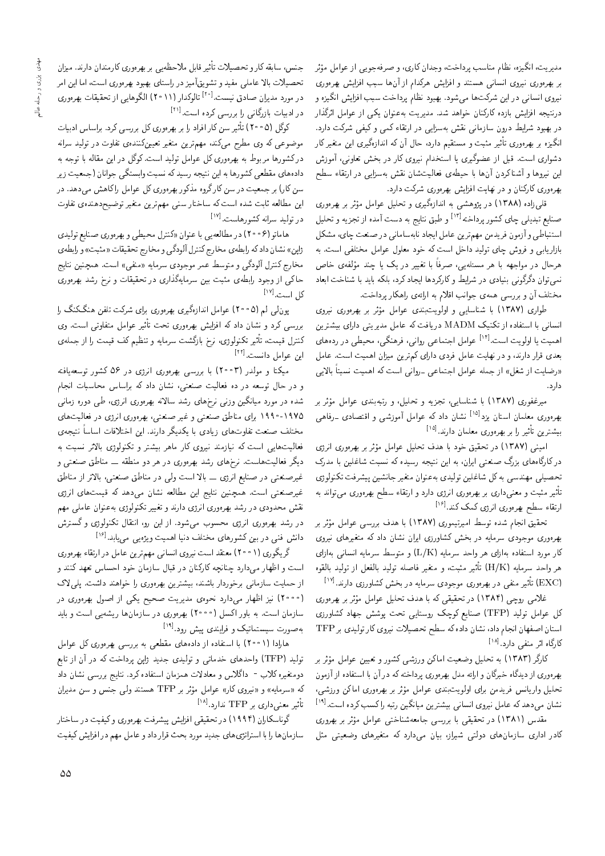مدیریت، انگیزه، نظام مناسب پرداخت، وجدان کاری، و صرفهجویی از عوامل مؤثر بر بهرهوری نیروی انسانی هستند و افزایش هرکدام از آنها سبب افزایش بهرهوری نیروی انسانی در این شرکتها می،شود. بهبود نظام پرداخت سبب افزایش انگیزه و درنتیجه افزایش بازده کارکنان خواهد شد. مدیریت بهعنوان یکی از عوامل اثرگذار در بهبود شرایط درون سازمانی نقش بهسزایی در ارتقاء کمی و کیفی شرکت دارد. انگیزه بر بهرهوری تأثیر مثبت و مستقیم دارد، حال آن که اندازهگیری این متغیر کار دشواری است. قبل از عضوگیری یا استخدام نیروی کار در بخش تعاونی، آموزش این نیروها و آشناکردن آنها با حیطهی فعالیتشان نقش بهسزایی در ارتقاء سطح بهرهوری کارکنان و در نهایت افزایش بهرهوری شرکت دارد.

قلمی زاده (۱۳۸۸) در پژوهشی به اندازهگیری و تحلیل عوامل مؤثر بر بهرهوری صنایع تبدیل<sub>ی</sub> چای کشور پرداخته<sup>ا۱۳</sup> و طبق نتایج به دست آمده از تجزیه و تحلیل استنباطي و آزمون فريدمن مهم ترين عامل ايجاد نابهساماني در صنعت چاي، مشكل بازاریابی و فروش چای تولید داخل است که خود معلول عوامل مختلفی است. به هرحال در مواجهه با هر مسئلهیی، صرفاً با تغییر در یک یا چند مؤلفهی خاص نمی توان دگرگونی بنیادی در شرایط و کارکردها ایجاد کرد، بلکه باید با شناخت ابعاد مختلف آن و بررسی همهی جوانب اقلام به ارائهی راهکار برداخت.

طواری (۱۳۸۷) با شناسایی و اولویتبندی عوامل مؤثر بر بهرهوری نیروی انسانی با استفاده از تکنیک MADM دریافت که عامل مدیریتی دارای بیشترین اهمیت یا اولویت است.<sup>[۱۴]</sup> عوامل اجتماعی روانی، فرهنگی، محیطی در ردههای بعدی قرار دارند، و در نهایت عامل فردی دارای کم ترین میزان اهمیت است. عامل «رضایت از شغل» از جمله عوامل اجتماعی ـروانی است که اهمیت نسبتاً بالایی دارد.

میرغفوری (۱۳۸۷) با شناسایی، تجزیه و تحلیل، و رتبهبندی عوامل مؤثر بر بهرهوری معلمان استان یزد<sup>[۱۵]</sup> نشان داد که عوامل آموزشی و اقتصادی ـرفاهی بیشترین تأثیر را بر بهرهوری معلمان دارند.<sup>[۱۵]</sup>

امینی (۱۳۸۷) در تحقیق خود با هدف تحلیل عوامل مؤثر بر بهرهوری انرژی در کارگاههای بزرگ صنعتبی ایران، به این نتیجه رسیده که نسبت شاغلین با مدرک تحصیلی مهندسی به کل شاغلین تولیدی بهعنوان متغیر جانشین پیشرفت تکنولوژی تأثیر مثبت و معنىدارى بر بهرەورى انرژى دارد و ارتقاء سطح بهرەورى مىءتواند بە ارتقاء سطح بهرهوري انرژى كمك كند.[19]

تحقیق انجام شده توسط امیرتیموری (۱۳۸۷) با هدف بررسی عوامل مؤثر بر بهرهوری موجودی سرمایه در بخش کشاورزی ایران نشان داد که متغیرهای نیروی كار مورد استفاده بهازاي هر واحد سرمايه (L/K) و متوسط سرمايه انساني بهازاي هر واحد سرمايه (H/K) تأثير مثبت، و متغير فاصله توليد بالفعل از توليد بالقوه (EXC) نأثیر منفی در بهرهوری موجودی سرمایه در بخش کشاورزی دارند.<sup>[۱۷]</sup>

غلامی روچی (۱۳۸۴) در تحقیقی که با هدف تحلیل عوامل مؤثر بر بهرهوری کل عوامل تولید (TFP) صنایع کوچک روستایی تحت پوشش جهاد کشاورزی استان اصفهان انجام داد، نشان داده كه سطح تحصيلات نيروي كار توليدي بر TFP كارگاه اثر منفى دارد.<sup>[۱۸]</sup>

کارگر (۱۳۸۳) به تحلیل وضعیت اماکن ورزشی کشور و تعیین عوامل مؤثر بر بهرهوری از دیدگاه خبرگان و ارائه مدل بهرهوری پرداخته که در آن با استفاده از آزمون تحلیل واریانس فریدمن برای اولویتبندی عوامل مؤثر بر بهرهوری اماکن ورزشی، نشان میدهد که عامل نیروی انسانی بیشترین میانگین رتبه راکسب کرده است.<sup>[۱۹]</sup>

مقدس (۱۳۸۱) در تحقیقی با بررسی جامعهشناختبی عوامل مؤثر بر بهروری کادر اداری سازمانهای دولتی شیراز، بیان میدارد که متغیرهای وضعیتی مثل

جنس، سابقه کار و تحصیلات تأثیر قابل ملاحظهیی بر بهرهوری کارمندان دارند. میزان تحصیلات بالا عاملی مفید و تشویقآمیز در راستای بهبود بهرهوری است، اما این امر در مورد مدیران صادق نیست.<sup>[۲۰]</sup> تالوکدار (۲۰۱۱) الگوهایی از تحقیقات بهرهوری در ادبیات بازرگانی را بررسی کرده است.<sup>[۱۱]</sup>

کوگل (۵ ° ° ۲) تأثیر سن کار افراد را بر بهرهوری کل بررسی کرد. براساس ادبیات موضوعی که وی مطرح میکند، مهمترین متغیر تعیینکنندهی تفاوت در تولید سرانه درکشورها مربوط به بهرهوری کل عوامل تولید است. کوگل در این مقاله با توجه به دادههای مقطعی کشورها به این نتیجه رسید که نسبت وابستگی جوانان (جمعیت زیر سن کار) بر جمعیت در سن کارگروه مذکور بهرهوری کل عوامل را کاهش میدهد. در این مطالعه ثابت شده است که ساختار سنبی مهم ترین متغیر توضیحدهندهی تفاوت در توليد سرانه كشورهاست. <sup>[۱۷]</sup>

هاماتو (۶۰۰۶) در مطالعه یی با عنوان «کنترل محیطی و بهرهوری صنایع تولیدی ژاپن» نشان دادكه رابطهي مخارج كنترل ألودگي و مخارج تحقيقات «مثبت» و رابطهي مخارج کنترل ألودگی و متوسط عمر موجودی سرمایه «منفی» است. همچنین نتایج حاکمی از وجود رابطه ی مثبت بین سرمایهگذاری در تحقیقات و نرخ رشد بهرهوری کل است.<sup>[۱۷]</sup>

پون لی لم (۵ °۲۰) عوامل اندازهگیری بهرهوری برای شرکت تلفن هنگکنگ را بررسی کرد و نشان داد که افزایش بهرهوری تحت تأثیر عوامل متفاوتی است. وی کنترل قیمت، تأثیر تکنولوژی، نرخ بازگشت سرمایه و تنظیم کف قیمت را از جملهی این عوامل دانست. [<sup>11]</sup>

میکتا و مولدر (۲°۲°) با بررسی بهرهوری انرژی در ۵۶ کشور توسعه یافته و در حال توسعه در ده فعالیت صنعتی، نشان داد که براساس محاسبات انجام شده در مورد میانگین وزنی نرخهای رشد سالانه بهرهوری انرژی، طی دوره زمانی ۱۹۷۵-۱۹۹۰ برای مناطق صنعتی و غیر صنعتی، بهرهوری انرژی در فعالیت های مختلف صنعت تفاوتهاى زيادى با يكديگر دارند. اين اختلافات اساساً نتيجهى فعالیتهایی است که نیازمند نیروی کار ماهر بیشتر و تکنولوژی بالاتر نسبت به دیگر فعالیتهاست. نرخهای رشد بهرهوری در هر دو منطقه ـــ مناطق صنعتی و غیرصنعتی در صنایع انرژی ـــ بالا است ولی در مناطق صنعتی، بالاتر از مناطق غیرصنعتی است. همچنین نتایج این مطالعه نشان می،دهد که قیمتهای انرژی .<br>نقش محدودی در رشد بهرهوری انرژی دارند و تغییر تکنولوژی بهعنوان عامل<sub>ی</sub> مهم در رشد بهرهوری انرژی محسوب میشود. از این رو، انتقال تکنولوژی و گسترش دانش فنی در بین کشورهای مختلف دنیا اهمیت ویژهیی می یابد.<sup>[۱۶]</sup>

گريگوري (٥٠١١) معتقد است نيروي انساني مهمترين عامل در ارتقاء بهرهوري است و اظهار می،دارد چنانچه کارکنان در قبال سازمان خود احساس تعهد کنند و از حمایت سازمانی برخوردار باشند، بیشترین بهرهوری را خواهند داشت. پلیلاک (۲۰۰۰) نیز اظهار میردارد نحوهی مدیریت صحیح یکی از اصول بهرهوری در سازمان است. به باور اکسل (° ° °۲) بهرهوری در سازمانها ریشهیی است و باید به صورت سیستماتیک و فرایندی پیش رود.<sup>[۱۹]</sup>

هارادا (٢٠٠١) با استفاده از دادههای مقطعی به بررسی بهرهوری کل عوامل تولید (TFP) واحدهای خدماتی و تولیدی جدید ژاپن پرداخت که در آن از تابع دومتغیره کلاب - داگلاس و معادلات همزمان استفاده کرد. نتایج بررسی نشان داد که «سرمایه» و «نیروی کار» عوامل مؤثر بر TFP هستند ولمی جنس و سن مدیران تأثیر معنیداری بر TFP ندارد.<sup>[۱۸]</sup>

گوناسکاران (۱۹۹۴) در تحقیقی افزایش پیشرفت بهرهوری وکیفیت در ساختار سازمانها را با استراتژی های جدید مورد بحث قرار داد و عامل مهم در افزایش کیفیت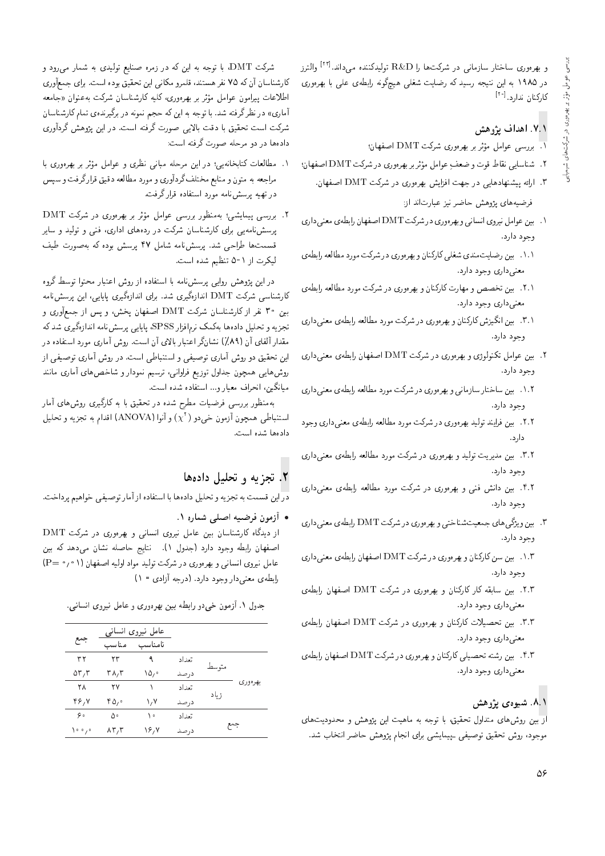و بهرهوری ساختار سازمانی در شرکتها را R&D تولیدکننده می داند.<sup>[۲۳]</sup> والترز در ۱۹۸۵ به این نتیجه رسید که رضایت شغلبی هیچگونه رابطهی علمی با بهرهوری كاركنان ندارد.<sup>[11]</sup>

### ۷.۱. اهداف پژوهش

- ۰. بررسی عوامل مؤثر بر بهرهوری شرکت DMT اصفهان؛
- ۲. شناسایی نقاط قوت و ضعف عوامل مؤثر بر بهرهوری در شرکت DMT اصفهان؛
	- ۳. ارائه پیشنهادهایی در جهت افزایش بهرهوری در شرکت DMT اصفهان. فرضيههاى پژوهش حاضر نيز عبارتاند از:
- ۱. بین عوامل نیروی انسانی و بهرهوری در شرکت DMT اصفهان رابطهی معنی داری وجود دارد.
- ۱.۱ بین رضایت مندی شغلی کارکنان و بهرهوری در شرکت مورد مطالعه رابطهی معنى دارى وجود دارد.
- ٬۲۰۱ بین تخصص و مهارت کارکنان و بهرهوری در شرکت مورد مطالعه رابطهی معنى دارى وجود دارد.
- ۳.۱. بین انگیزش کارکنان و بهرهوری در شرکت مورد مطالعه رابطهی معنی داری وجود دارد.
- ۲. بین عوامل تکنولوژی و بهرهوری در شرکت DMT اصفهان رابطهی معنی داری وجود دارد.
- ۱.۲ بین ساختار سازمانی و بهرهوری در شرکت مورد مطالعه رابطهی معنی داری وجود دارد.
- ٢.٢. بين فرايند توليد بهرهوري در شركت مورد مطالعه رابطهي معنىداري وجود دارد.
- ۳.۲. بین مدیریت تولید و بهرهوری در شرکت مورد مطالعه رابطهی معنی،داری وجود دارد.
- ۴.۲. بین دانش فنی و بهرهوری در شرکت مورد مطالعه رابطهی معنیداری وجود دارد.
- ۳. بین و یژگی های جمعیتشناختی و بهرهوری در شرکت DMT رابطهی معنی داری وجود دارد.
- ۱.۳ . بین سن کارکنان و بهرهوری در شرکت DMT اصفهان رابطهی معنیداری وجود دارد.
- ۲.۳. بین سابقه کار کارکنان و بهرهوری در شرکت DMT اصفهان رابطهی معنى دارى وجود دارد.
- ۳.۳. بین تحصیلات کارکنان و بهرهوری در شرکت DMT اصفهان رابطهی معنى دارى وجود دارد.
- ۴.۳. بین رشته تحصیلی کارکنان و بهرهوری در شرکت DMT اصفهان رابطهی معنى دارى وجود دارد.

#### ۸.۱. شیوه ی یژوهش

از بین روش های متداول تحقیق، با توجه به ماهیت این پژوهش و محدودیت های موجود، روش تحقیق توصیفی ـپیمایشی برای انجام پژوهش حاضر انتخاب شد.

شرکت DMT، با توجه به این که در زمره صنایع تولیدی به شمار می رود و کارشناسان آن که ۷۵ نفر هستند، قلمرو مکانی این تحقیق بوده است. برای جمعآوری اطلاعات پیرامون عوامل مؤثر بر بهرهوری، کلیه کارشناسان شرکت به عنوان «جامعه آماری» در نظرگرفته شد. با توجه به این که حجم نمونه در برگیرندهی تمام کارشناسان شرکت است تحقیق با دقت بالایی صورت گرفته است. در این یژوهش گردآوری دادهها در دو مرحله صورت گرفته است:

- ۱. مطالعات کتابخانهیی؛ در این مرحله مبانی نظری و عوامل مؤثر بر بهرهوری با مراجعه به متون و منابع مختلف گردآوري و مورد مطالعه دقيق قرارگرفت و سپس در تهیه پرسشiامه مورد استفاده قرار گرفت.
- ۲. بررسی پیمایشی؛ بهمنظور بررسی عوامل مؤثر بر بهرهوری در شرکت DMT پرسش نامهیی برای کارشناسان شرکت در ردههای اداری، فنی و تولید و سایر قسمتها طراحی شد. برسشنامه شامل ۴۷ برسش بوده که بهصورت طیف ليكرت از ١-٥ تنظيم شده است.

در این پژوهش روایی پرسشiامه با استفاده از روش اعتبار محتوا توسط گروه کارشناسبی شرکت DMT اندازهگیری شد. برای اندازهگیری پایایی، این برسش،نامه بین ۳۰ نفر از کارشناسان شرکت DMT اصفهان پخش، و پس از جمعآوری و تجزیه و تحلیل دادهها بهکمک نرمافزار SPSS، پایایی پرسش نامه اندازهگیری شد که مقدار آلفای آن (۸۹٪) نشانگر اعتبار بالای آن است. روش آماری مورد استفاده در این تحقیق دو روش آماری توصیفی و استنباطی است. در روش آماری توصیفی از روشهایی همچون جداول توزیع فراوانی، ترسیم نمودار و شاخص های آماری مانند ميانگين، انحراف معيار و... استفاده شده است.

بهمنظور بررسی فرضیات مطرح شده در تحقیق با به کارگیری روش های آمار استنباطي همچون آزمون خي دو  $(\chi^{\dagger})$  و آنوا (ANOVA) اقدام به تجزيه و تحليل دادهها شده است.

# ۲. تجزیه و تحلیل دادهها

دراین قسمت به تجزیه و تحلیل دادهها با استفاده از آمار توصیفی خواهیم پرداخت.

• آزمون فرضيه اصلى شماره ١.

از دیدگاه کارشناسان بین عامل نیروی انسانی و بهرهوری در شرکت DMT اصفهان رابطه وجود دارد (جدول ١). نتايج حاصله نشان مىدهد كه بين عامل نیروی انسانی و بهرهوری در شرکت تولید مواد اولیه اصفهان (۹۰٫۱ - P=) ابطهی معنی دار وجود دارد. (درجه آزادی = ۱)

جدول ۱. آزمون خی دو رابطه بین بهرهوری و عامل نیروی انسانی.

|       |       | عامل نیروی انسانی |       |       |         |
|-------|-------|-------------------|-------|-------|---------|
| جمع   | مناسب | نامناسب           |       |       |         |
| ۳۲    | ۲۳    | ٩                 | تعداد |       |         |
| ۵۳٬۳  | ۳۸٬۳  | ۱۵٬۰              | درصد  | متوسط |         |
| ۲۸    | ۲۷    |                   | تعداد |       | بهرەورى |
| 46, Y | ۴۵٬۰  | ۱,۷               | درصد  | ز باد |         |
| ه ۶   | ۵۰    | ۱۰                | تعداد |       |         |
| ۰٫۰۱  | ۸۳٫۳  | ۱۶٬۷              | درصد  |       | جمع     |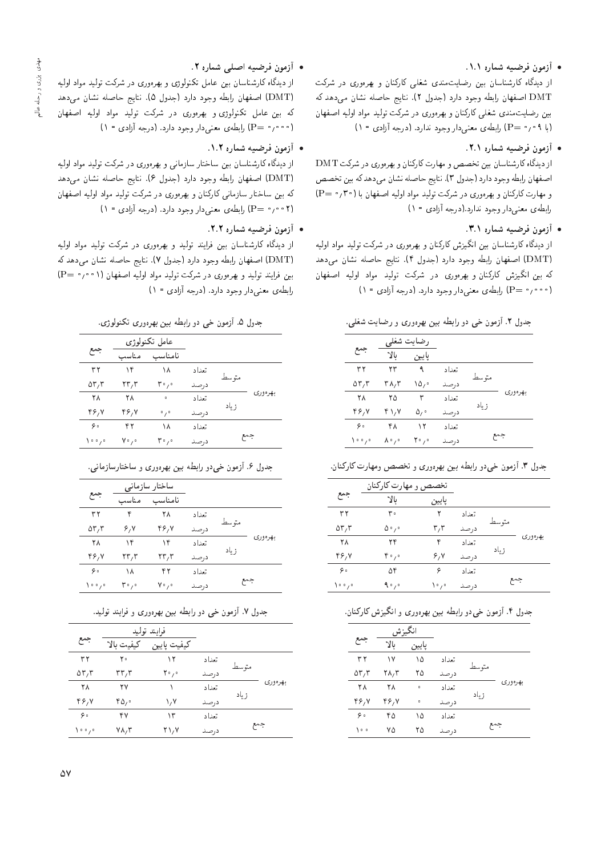### • أزمون فرضيه شماره ١.١.

از دیدگاه کارشناسان بین رضایت مندی شغلی کارکنان و بهرهوری در شرکت DMT اصفهان رابطه وجود دارد (جدول ٢). نتايج حاصله نشان مىدهد كه بین رضایت مندی شغلی کارکنان و بهرهوری در شرکت تولید مواد اولیه اصفهان  $(1 - C)$  (با ۹ $(Pe = C)$  رابطهى معنى دار وجود ندارد. (درجه أزادى = ۱)

• آزمون فرضيه شماره ٢.١.

از دیدگاه کارشناسان بین تخصص و مهارت کارکنان و بهرهوری در شرکت DMT اصفهان رابطه وجود دارد (جدول ٣). نتايج حاصله نشان مى دهدكه بين تخصص و مهارت كاركنان و بهرهورى در شركت توليد مواد اوليه اصفهان با (٣٠/ ° P=) رابطهى معنىدار وجود ندارد.(درجه أزادي = ١)

● آزمون فرضمیه شماره ۳.۱.<br>از دیدگاه کارشناسان بین انگیزش کارکنان و بهرهوری در شرکت تولید مواد اولیه x}rw= O=wt O}rwD CmQW QO |QwxQy@ w u=vmQ=m VR}ov= u}@ u=U=vWQ=m x=oO}O R= (DMT) اصفهان رابطه وجود دارد (جدول ۴). نتایج حاصله نشان می0هد<br>کمیسازگری کاکمان نه بین اندیزس تارتمان و بهرهوری در سرتب توتید مواد اولیه اصفهان<br>۱۰ ـ ۱۰ ـ ۱۰ ـ ۱۰ ـ بـ المسلم المسلم المسلم ۱۰ (۱۰۰۰م - P) رابطهی معنیدار وجود دارد. (درجه آزادی = ۱)<br>.

جدول ۲. آزمون خي دو رابطه بين بهرهوري و رضايت شغلي.

|              |         | رضايت شغلى |       |        |          |
|--------------|---------|------------|-------|--------|----------|
| جمع          | YL      | يايين      |       |        |          |
| ۳۲           | ۲۳      | ٩          | تعداد |        |          |
| $\delta r/r$ | ۳۸٬۳    | ۱۵٬۰       | درصد  | متوسط  |          |
| ۲۸           | ۲۵      | ٣          | تعداد |        | بهر ەورى |
| ۴۶٫۷         | ۲۱٬۷    | ٥,٠        | درصد  | ز یا د |          |
| ه ۶          | ۴۸      | ۱۲         | تعداد |        |          |
| ۰٫۰ (        | ۰ ، ^ ۸ | ۰٫۰ کا     | درصد  |        | جمع      |

جدول ۳. آزمون خي دو رابطه بين بهرهوري و تخصص ومهارت كاركنان.

|          |       |       | تخصص و مهارت كاركنان                        |              |
|----------|-------|-------|---------------------------------------------|--------------|
|          |       | يايين | Yl                                          | جمع          |
|          | تعداد | ۲     | ۳.                                          | ۳۲           |
| متوسط    | درصد  | ۳٫۳   | $\Delta$ ° / °                              | $\delta r/r$ |
| بهره وري | تعداد | ۴     | ۲۴                                          | ۲۸           |
| ز یاد    | درصد  | ۶٬۷   | $\mathfrak{p}_{\mathfrak{o}_f\mathfrak{o}}$ | ۴۶٬۷         |
|          | تعداد | ۶     | ۵۴                                          | ه ۶          |
| جمع      | درصد  | ۰,۰۱  | $\mathsf{A} \cdot \mathsf{A} \cdot$         | ۰٫۰۱         |

#### جدول ۴. آزمون خی دو رابطه ببین بهرهوری و انگیزش کارکنان.

|              | انگيزش |                     |       |       |          |
|--------------|--------|---------------------|-------|-------|----------|
| جمع          | YL     | يايين               |       |       |          |
| ۳۲           | ۱۷     | ۱۵                  | تعداد |       |          |
| $\delta r/r$ | ۲۸٬۳   | ۲۵                  | درصد  | متوسط |          |
| ۲۸           | ۲۸     | $\ddot{\mathbf{0}}$ | تعداد |       | بهر ەورى |
| ۴۶٬۷         | 46, Y  | $\circ$             | درصد  | ز یاد |          |
| ه ۶          | ۴۵     | ۱۵                  | تعداد |       |          |
| ه ه ۱        | ۷۵     | ۲۵                  | درصد  |       | جمع      |

## • آزمون فرضيه اصلى شماره ٢.

از دیدگاه کارشناسان بین عامل تکنولوژی و بهرهوری در شرکت تولید مواد اولیه (DMT) اصفهان رابطه وجود دارد (جدول ۵). نتايج حاصله نشان مىدهد که بین عامل تکنولوژی و بهرهوری در شرکت تولید مواد اولیه اصفهان  $(1 - \epsilon)^{\sigma}$ ار (مادوجود دارد. (درجه آزادی) ( $P = \gamma$ 

• آزمون فرضيه شماره ١.٢.

از دیدگاه کارشناسان بین ساختار سازمانی و بهرهوری در شرکت تولید مواد اولیه DMT) اصفهان رابطه وجود دارد (جدول ۶). نتايج حاصله نشان مى دهد که بین ساختار سازمانی کارکنان و بهرهوری در شرکت تولید مواد اولیه اصفهان 1 ° ° م ° = P) رابطهى معنى دار وجود دارد. (درجه آزادى = ١)

• آزمون فرضيه شماره ٢.٢.

از دیدگاه کارشناسان بین فرایند تولید و بهرهوری در شرکت تولید مواد اولیه (DMT) اصفهان رابطه وجود دارد (جدول ۷). نتايج حاصله نشان مىدهدكه بین فرایند تولید و بهرهوری در شرکت تولید مواد اولیه اصفهان (۱°۰٫°= P)  $(1 = \{c, c\}$ رابطه ی معنی دار وجود دارد. (درجه آزادی

جدول ۵. آزمون خی دو رابطه بین بهرهوری تکنولوژی.

| جمع<br>مناسب<br>۱۴<br>۳۲ | نامناسب<br>۱۸ |        |       |          |
|--------------------------|---------------|--------|-------|----------|
|                          |               |        |       |          |
|                          |               | تعداد  |       |          |
| $\delta r/r$<br>۲۳٫۳     | ۰٫۰ ۳         | درصد   | متوسط |          |
| ۲۸<br>۲۸                 | $\circ$       | تعداد  |       | بهر ەورى |
| 46, Y<br>46.Y            | 0/0           | درصد   | زیاد  |          |
| ۰,<br>۴۲                 | ۱۸            | تعذا د |       |          |
| ۰, ۷۰<br>۰,۰۱ (          | ۰٫۰ م         | درصد   |       | جمع      |

| جدول ۶. آزمون خی دو رابطه بین بهرهوری و ساختارسازمانی. |
|--------------------------------------------------------|
|--------------------------------------------------------|

|              |       | ساختار سازمانی |       |       |          |
|--------------|-------|----------------|-------|-------|----------|
| جمع          | مناسب | نامناسب        |       |       |          |
| ۳۲           | ۴     | ۲۸             | تعداد |       |          |
| $\delta r/r$ | ۶٬۷   | ۴۶٬۷           | درصد  | متوسط |          |
| ۲۸           | ۱۴    | ۱۴             | تعداد |       | بهره وري |
| ۴۶٬۷         | ۲۳٫۳  | ۲۳٫۳           | درصد  | زیاد  |          |
| ه ۶          | ۱۸    | ۴۲             | تعداد |       |          |
| ۰,۰۱ (       | ۰٫۰ م | ۰, ۷۰          | درصد  |       | جمع      |
|              |       |                |       |       |          |

جدول ۷. آزمون خی دو رابطه بین بهرهوری و فرایند تولید.

|                                |            | فرايند توليد |       |       |         |
|--------------------------------|------------|--------------|-------|-------|---------|
| جمع                            | كيفيت بالا | كيفيت پايين  |       |       |         |
| ۳۲                             | ٢٥         | ۱۲           | تعداد |       |         |
| $\Delta \mathbf{r}/\mathbf{r}$ | ۳۳,۳       | ۰٫۰ م        | درصد  | متوسط |         |
| ۲۸                             | ۲۷         |              | تعداد |       | يهرەورى |
| ۴۶٬۷                           | ۰ (۲۵      | ۱٬۷          | درصد  | ز یاد |         |
| ه ۶                            | ۴٧         | ۱۳           | تعداد |       |         |
| ۰٫۰ (                          | ۷۸٬۳       | ۲۱٬۷         | درصد  |       | جمع     |
|                                |            |              |       |       |         |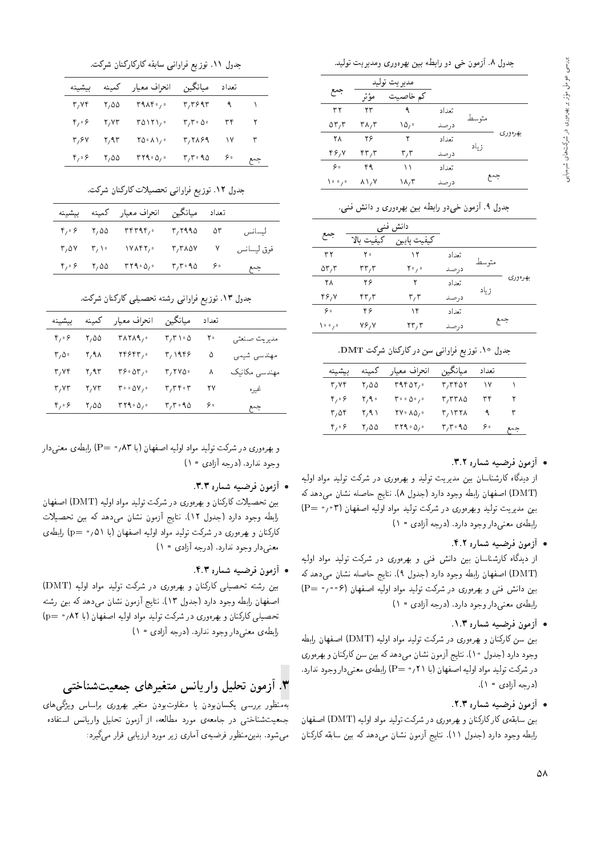| جدول ۸. آزمون خي دو رابطه بين بهرهوري ومديريت توليد. |  |
|------------------------------------------------------|--|
|------------------------------------------------------|--|

|          |       |       | مديريت توليد |                             |                                |
|----------|-------|-------|--------------|-----------------------------|--------------------------------|
|          |       |       | کم خاصیت     | مؤثر                        | جمع                            |
|          |       | تعداد | ٩            | ۲۳                          | ۳۲                             |
|          | متوسط | درصد  | ۰۵٬۰         | ۳۸٬۳                        | $\Delta \mathbf{r}/\mathbf{r}$ |
| بهره وري |       | تعداد | ۲            | ۲۶                          | ۲۸                             |
|          | ز باد | درصد  | ۳٫۳          | ۴۳٫۳                        | ۴۶٬۷                           |
|          |       | تعداد | ۱۱           | ۴۹                          | ه ۶                            |
| جمع      |       | درصد  | ۱۸,۳         | $\lambda \lambda / \lambda$ | ۰,۰۱ (                         |
|          |       |       |              |                             |                                |

جدول ۹. آزمون خي دو رابطه بين بهرهوري و دانش فني.

|              |            | دانش فنی    |       |       |         |
|--------------|------------|-------------|-------|-------|---------|
| جمع          | كيفيت بالا | كيفيت پايين |       |       |         |
| ۳۲           | ٢٥         | ۱۲          | تعداد |       |         |
| $\delta r/r$ | ۳۳,۳       | ۰٫ م۲       | درصد  | متوسط |         |
| ۲۸           | ۲۶         | ۲           | تعداد |       | بهرەورى |
| ۴۶٬۷         | ۴۳٫۳       | ۳٫۳         | درصد  | ز یاد |         |
| ه ۶          | ۴۶         | ۱۴          | تعداد |       |         |
| ۰,۰۱ (       | 76, Y      | ۲۳٫۳        | درصد  |       | جمع     |
|              |            |             |       |       |         |

| جدول ۱۰. توزیع فراوانی سن درکارکنان شرکت DMT. |  |
|-----------------------------------------------|--|
|-----------------------------------------------|--|

|     | تعداد | ميانگين         | انحراف معيار                                                     | كمسنه | ىيشىنە |
|-----|-------|-----------------|------------------------------------------------------------------|-------|--------|
|     | ۱۷    | ۳٫۳۴۵۲          | 79707,0                                                          | ۲٬۵۵  | ۳٬۷۴   |
| ۲   | ۳۴    | ۲,۳۳۸۵          | ۰٫۰۵۰ ۳                                                          | Y, 9  | ۴٫۰۶   |
| ٣   | ٩     | ۳, ۱۳۲۸         | $\mathbf{Y} \mathbf{V} \cdot \mathbf{\Lambda} \mathbf{\Delta}$ , | ۲٬۹۱  | ۳٬۵۴   |
| جمع | ه ۶   | $r, r \cdot 90$ | $rrq \cdot \Delta$                                               | ۲٬۵۵  | ۶٫۰۶   |

#### • آزمون فرضيه شماره ٣.٢.

از دیدگاه کارشناسان بین مدیریت تولید و بهرهوری در شرکت تولید مواد اولیه (DMT) اصفهان رابطه وجود دارد (جدول ۸). نتايج حاصله نشان مىدهد كه بین مدیریت تولید وبهرهوری در شرکت تولید مواد اولیه اصفهان (P= ۰٫۰۳) رابطهي معنىدار وجود دارد. (درجه آزادي = ١)

• آزمون فرضيه شماره ۴.۲.

از دیدگاه کارشناسان بین دانش فنی و بهرهوری در شرکت تولید مواد اولیه (DMT) اصفهان رابطه وجود دارد (جدول ۹). نتايج حاصله نشان مى دهد كه بین دانش فنی و بهرهوری در شرکت تولید مواد اولیه اصفهان (۶۰۰م - P=) رابطهى معنى دار وجود دارد. (درجه آزادى = ١)

• أزمون فرضيه شماره ١.٣.

بین سن کارکنان و بهرهوری در شرکت تولید مواد اولیه (DMT) اصفهان رابطه وجود دارد (جدول ١٠). نتايج أزمون نشان مي دهد كه بين سن كاركنان و بهرهوري در شركت توليد مواد اوليه اصفهان (با ٢١/ ° =P) رابطهى معنى دار وجود ندارد.  $(1 = x)$  (درجه آزادی $(1)$ 

• آزمون فرضيه شماره ٢.٣.

بين سابقهى كاركاركنان وبهرهورى در شركت توليد مواد اوليه (DMT) اصفهان رابطه وجود دارد (جدول ١١). نتايج آزمون نشان مىدهد كه بين سابقه كاركنان

جدول ۱۱. توزیع فراوانی سابقه کارکارکنان شرکت.

| ببشينه | كمينه | انحراف معيار | ميانگين         | تعداد |     |
|--------|-------|--------------|-----------------|-------|-----|
| ۳,۷۴   | ۲٬۵۵  | 4.16.7       | ۳٫۳۶۹۳          | ٩     |     |
| ۴٫۰۶   | 7, VT | ۲۵۱۲۱,۰      | $r_r$ . $\circ$ | ۳۴    | ۲   |
| ۳٬۶۷   | ۲٬۹۳  | ۲۵۰۸۱,۰      | 3,889           | ١٧    | ٣   |
| ۴٫۰۶   | ۲٬۵۵  | rr10.00      | $r, r \cdot 10$ | ه ۶   | جمع |

جدول ١٢. توزيع فراواني تحصيلات كاركنان شركت.

|            | تعداد |                 | ميانگين انحراف معيار كمينه |                | بيشينه |
|------------|-------|-----------------|----------------------------|----------------|--------|
| ليسانس     | ۵۳    | ۲٬۲۹۹۵          | ۲۴۳۹۴٫۰                    | ۵۵ /۲          | ۶٫۰۶   |
| فوق ليسانس |       | ۳٫۳۸۵۷          | ۰٬۲۸۴۲ (                   | $\mathsf{r}_1$ | ۳٫۵۷   |
| جمع        | ه ۶   | $r, r \cdot 90$ | TT1.00                     | ۵۵ /۲          | ۶٫۰۶   |

جدول ١٣. توزيع فراواني رشته تحصيلي كاركنان شركت.

| سشىنە | كممنه | انحراف معيار | ميانگين  | تعداد |               |
|-------|-------|--------------|----------|-------|---------------|
| ۶٫۰۶  | ۲٬۵۵  | ۰, ۲۸۲۸۹     | ۰۵ ۲/۳۱۰ | ۲۰    | مديريت صنعتى  |
| ۲٫۵۰  | ۲٬۹۸  | ۲۴۶۴۳٫۰      | ۳٫۱۹۴۶   | ۵     | مهندسي شيمي   |
| ۳٬۷۴  | ۲٫۹۳  | ۰٬۳۶۰ م      | ۳٬۲۷۵۰   | ٨     | مهندسی مکانیک |
| ۳٬۷۳  | 7, V۳ | ۰٬۵۷۰ تا     | ۳٫۳۴۰۳   | ۲۷    | غيره          |
| ۴٫۰۶  | ۲٬۵۵  | rr10.00      | ۲٫۳۰۹۵   | ه ۶   | جمع           |
|       |       |              |          |       |               |

و بهرهوری در شرکت تولید مواد اولیه اصفهان (با ۵٫۸۳ =P) رابطهی معنی دار  $(1 = c)$ وجود ندارد. (درجه آزادی

 $\mathbf{F} \cdot \mathbf{Y}$ " فرضيه شماره  $\mathbf{F} \cdot \mathbf{Y}$ 

بین تحصیلات کارکنان و بهرهوری در شرکت تولید مواد اولیه (DMT) اصفهان رابطه وجود دارد (جدول ١٢). نتايج آزمون نشان مىدهد كه بين تحصيلات كاركنان و بهرهورى در شركت توليد مواد اوليه اصفهان (با ۵۱/۰) وإبطهى معنى دار وجود ندارد. (درجه آزادي = ١)

. • آزمون فرضيه شماره ۴.۳.

بین رشته تحصیلی کارکنان و بهرهوری در شرکت تولید مواد اولیه (DMT) اصفهان رابطه وجود دارد (جدول ١٣). نتايج أزمون نشان مى دهد كه بين رشته تحصیلی کارکنان و بهرهوری در شرکت تولید مواد اولیه اصفهان (با ۸۲؍ • p=) رابطهى معنى دار وجود ندارد. (درجه آزادى = ١)

# **۳**. أزمون تحليل واريانس متغيرهاي جمعيتشناختي

بهمنظور بررسی يكسان بودن يا متفاوت بودن متغير بهرورى براساس ويژگى هاى جمعیتشناختی در جامعهی مورد مطالعه، از آزمون تحلیل واریانس استفاده میشود. بدین منظور فرضیهی آماری زیر مورد ارزیابی قرار میگیرد: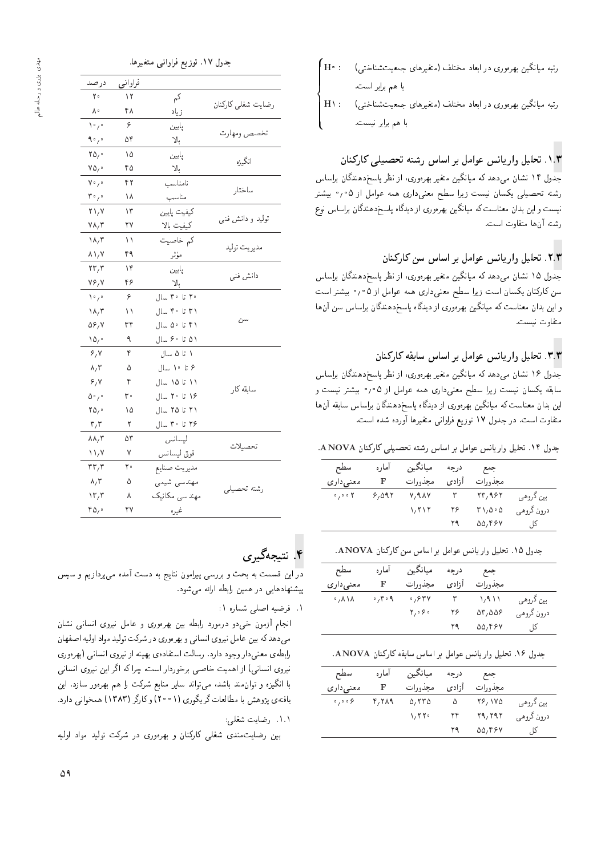$\mid$ رتبه میانگین بهرهوری در ابعاد مختلف (متغیرهای جمعیتشناختی)<br>. با هم برابر نیست.<br>.

# ۰۱.۳. تحلیل واریانس عوامل بر اساس رشته تحصیلی کارکنان

\_<br>جدول ۱۴ نشان مى،دهد كه ميانگين متغير بهرهورى، از نظر پاسخدهندگان براساس رشته تحصیلی یکسان نیست زیرا سطح معنیداری همه عوامل از ۰٫۰۵ بیشتر نیست و این بدان معناست که میانگین بهرهوری از دیدگاه پاسخدهندگان براساس نوع رشته آن ها متفاوت است.

# ۰۲.۳. تحلیل واریانس عوامل بر اساس سن کارکنان

\_<br>جدول ۱۵ نشان می0هد که میانگین متغیر بهرهوری، از نظر پاسخدهندگان براساس سن کارکنان یکسان است زیرا سطح معنیداری همه عوامل از ۰٫۰۵ بیشتر است و این بدان معناست که میانگین بهرهوری از دیدگاه پاسخدهندگان براساس سن آنها متفاوت نيست.

# ۰۳.۳ تحلیل وارپانس عوامل بر اساس سابقه کارکنان

\_<br>جدول ۱۶ نشان می0هد که میانگین متغیر بهرهوری، از نظر پاسخدهندگان براساس سابقه یکسان نیست زیرا سطح معنیداری همه عوامل از ۰٫۵۵ بیشتر نیست و این بدان معناست که میانگین بهرهوری از دیدگاه پاسخدهندگان براساس سابقه آنها متفاوت است. در جدول ۱۷ توزیع فراوانی متغیرها آورده شده است.

جدول ١۴. تحليل واريانس عوامل بر اساس رشته تحصيلي كاركنان ANOVA.

| سطح                              | اماره | ميانگين              | در حه | جمع     |            |
|----------------------------------|-------|----------------------|-------|---------|------------|
| معنی داری                        | F     | مجذورات              | آزادى | مجذورات |            |
| $\circ$ , $\circ$ o $\mathsf{Y}$ | 9,091 | $V, 9$ $\Lambda$ $V$ |       | 73,987  | بین گروهی  |
|                                  |       | 1, ۲ ۱ ۲             | ۲۶    | ۰۵ کا ۲ | درون گروهي |
|                                  |       |                      | ۲۹    | 55,484  | کل         |

جدول ١٥. تحليل واريانس عوامل بر اساس سن كاركنان ANOVA.

| سطح                              | اما, ہ                | ميانگين | در حه | جمع                            |            |
|----------------------------------|-----------------------|---------|-------|--------------------------------|------------|
| معنی داری                        | F                     | مجذورات | آزادي | مجذورات                        |            |
| $\cdot$ , $\wedge \wedge \wedge$ | $\cdot$ , ۳ $\cdot$ ۹ | ٬٫۶۳۷   |       | ハイハ                            | بين گروهي  |
|                                  |                       | ۰۶۰ م   | ۲۶    | $\Delta r$ , $\Delta \Delta 8$ | درون گروهي |
|                                  |                       |         | ۲۹    | 99,484                         | کل         |

جدول ١۶. تحليل واريانس عوامل بر اساس سابقه كاركنان ANOVA.

| سطح                               | اما, ہ | ميانگين   | در حه | جمع     |            |
|-----------------------------------|--------|-----------|-------|---------|------------|
| معنی داری                         | F      | محذورات   | ازادى | محذورات |            |
| $\circ$ , $\circ$ $\circ$ $\circ$ | 4,219  | 0,770     | ۵     | 78,170  | بين گروهي  |
|                                   |        | $\lambda$ | ۲۴    | ۲۹٫۲۹۲  | درون گروهي |
|                                   |        |           | ۲۹    | 55,467  | کلی        |

| درصد                               | فراوانىي |                        |                     |
|------------------------------------|----------|------------------------|---------------------|
| ه ۲                                | ۱۲       | کم                     | رضایت شغلبی کارکنان |
| $\Lambda \circ$                    | ۴۸       | زياد                   |                     |
| $\sum_{i=1}^{n}$                   | ۶        | پايين                  | تخصص ومهارت         |
| ۰٫۰                                | ۵۴       | بالا                   |                     |
| $\mathsf{r}\,\Delta_i\,$           | ۱۵       | يايين                  | انگيزه              |
| $\vee \varphi$                     | ۴۵       | بالا                   |                     |
| $V \circ \gamma \circ$             | ۴۲       | نامناسب                | ساختار              |
| ۰٫۰ م                              | ۱۸       | مناسب                  |                     |
| $Y \setminus Y$                    | ۱۳       | كيفيت يايين            |                     |
| $Y \wedge_Y Y$                     | ۲۷       | كيفيت بالا             | توليد و دانش فنبي   |
| $\lambda/\tau$                     | ۱۱       | کم خاصیت               |                     |
| $\lambda \setminus \lambda$        | ۴۹       | مؤثر                   | مديريت توليد        |
| $\mathsf{r}\mathsf{r}_i\mathsf{r}$ | ۱۴       | يايين                  | دانش فنى            |
| $Y \hat{Y}$                        | ۴۶       | γĻ                     |                     |
| $\sum_{i=1}^{n}$                   | ۶        | ۲۰ تا ۳۰ سال           |                     |
| $\lambda/\tau$                     | ۱۱       | ۴۰ تا ۴۰ سال           |                     |
| ۵۶,۷                               | ۳۴       | ۵۰ تا ۵۰ سال           | سن                  |
| $\lambda \Delta$                   | ٩        | ۵۱ تا ۶۰ سال           |                     |
| $\gamma/\gamma$                    | ۴        | $J \cup \Delta$ له سال |                     |
| $\lambda/\zeta$                    | ۵        | ۶ تا ۱۰ سال            |                     |
| $\mathcal{S}/\mathsf{V}$           | ۴        | ۱۱ تا ۱۵ سال           | سابقه کار           |
| $\Delta \cdot$ / $\cdot$           | ۳.       | ۱۶ تا ۲۰ سال           |                     |
| $\mathsf{Y} \mathsf{O}_\ell$       | ۱۵       | ۲۱ تا ۲۵ سال           |                     |
| $\mathsf{r}_\prime\mathsf{r}$      | ٢        | ۲۶ تا ۳۰ سال           |                     |
| $\Lambda\Lambda/\Gamma$            | ۵۳       | ليسانس                 | تحصيلات             |
| $\bigvee$                          | ٧        | فوق ليسانس             |                     |
| rr, r                              | ه ۲      | مديريت صنايع           |                     |
| $\lambda/\tau$                     | ۵        | مهندسي شيمي            | رشته تحصيلي         |
| $\mathcal{N}$ ۳                    | ٨        | مهندسي مكانيك          |                     |
| ۰ (۴                               | ۲۷       | غيره                   |                     |
|                                    |          |                        |                     |

جدول ١٧. توزيع فراواني متغيرها.

# ۴. نتیجهگی<sub>ر</sub>ی

در این قسمت به بحث و بررسی پیرامون نتایج به دست آمده می $\mathfrak{g}$ دازیم و سپس پیشنهادهایی در همین رابطه ارائه میشود.<br>۱. فرضیه اصلبی شماره ۱:

۰۱ قرصیه اصلی سماره ۱:<br>اساسهٔ

انجام ازمون حیدو درمورد رابطه بین بهرهوری و عامل نیروی استانی نسان<br>میری ایران این استان است. میدهد که بین عامل نیروی انسانی و بهرهوری در شرکت تولید مواد اولیه اصفهان<br>رابطهی معنی دار وجود دارد. رسالت استفادهی بهینه از نیروی انسانی (بهرهوری رابطهی معنی دار وجود دارد. رسالت استفادهی بهینه از نیروی انسانی ابهرهوری<br>.<br>. سروی استانی) از اهمیت حاصی برخوردار است، چرا نه آنر این سروی استانی<br>استگر میتوانید و استان استان استان برخی و ا با انگیزه و توان منذ باسد، می تواند سایر منابع سرتیت را هم بهرهور سازد. این<br>این اسکول ایران ایران تصریح کلی ایران کارستسی) یافته ی پژوهس با مطالعات در یکوری ۱۱ ° ۱۰ و داردر ( ۱۱ N ۱ ) همخوانی دارد.<br>.

#### ۰۱.۱ رضایت شغلی:

بین رضایت.مندی شغلمی کارکنان و بهرهوری در شرکت تولید مواد اولیه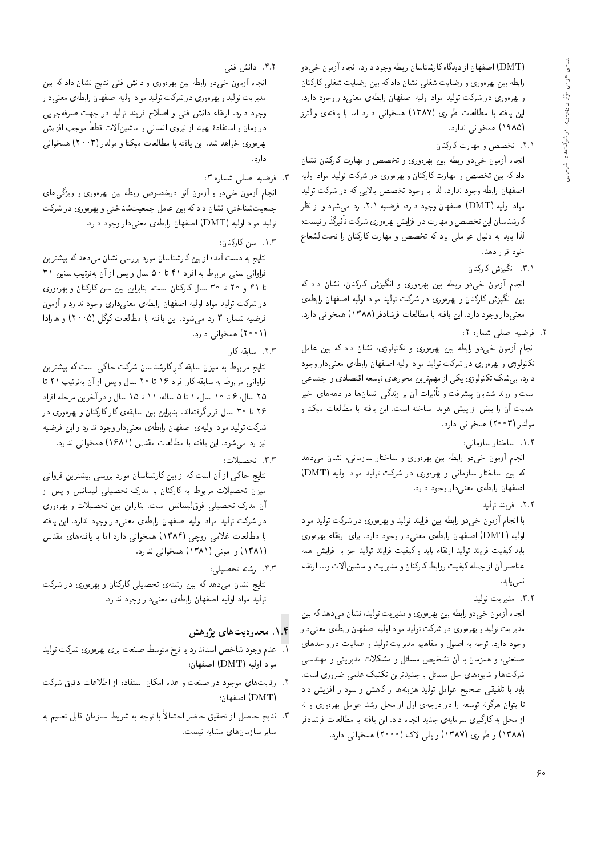(DMT) اصفهان از دیدگاه کارشناسان رابطه وجود دارد. انجام آزمون خىدو رابطه بین بهرهوری و رضایت شغلبی نشان دادکه بین رضایت شغلبی کارکنان و بهرهوری در شرکت تولید مواد اولیه اصفهان رابطهی معنیدار وجود دارد. این یافته با مطالعات طواری (۱۳۸۷) همخوانی دارد اما با یافتهی والترز (١٩٨٥) همخواني ندارد.

۰۲.۱ تخصص و مهارت كاركنان:

انجام أزمون خي دو رابطه بين بهرهوري و تخصص و مهارت كاركنان نشان داد که بین تخصص و مهارت کارکنان و بهرهوری در شرکت تولید مواد اولیه اصفهان رابطه وجود ندارد. لذا با وجود تخصص بالایبی که در شرکت تولید مواد اوليه (DMT) اصفهان وجود دارد، فرضيه ٢.١. رد مى شود و از نظر دارشناسان این تخصص و مهارت در افزایش بهرهوری شرکت تاتیرددار نیست؛<br>ازامات مسلمات است و این مسلمات میشود. لذا بايد به دنبال عواملي بودكه تخصص و مهارت كاركنان را تحت|لشعاع خود قرار دهد.

۳.۱. انگیزش کارکنان:

انجام أزمون خىدو رابطه بين بهرهورى و انگيزش كاركنان، نشان داد كه بین انگیزش کارکنان و بهرهوری در شرکت تولید مواد اولیه اصفهان رابطهی معنى دار وجود دارد. اين يافته با مطالعات فرشادفر (١٣٨٨) همخواني دارد.

٢. فرضيه اصلي شماره ٢:

انجام أزمون خيدو رابطه بين بهرهوري و تكنولوژي، نشان داد كه بين عامل تکنولوژی و بهرهوری در شرکت تولید مواد اولیه اصفهان رابطهی معنی دار وجود دارد. بی شک تکنولوژی یکی از مهم ترین محورهای توسعه اقتصادی و اجتماعی است و روند شتابان پیشرفت و تاتیرات آن بر زندگی انسانها در دهههای اخیر<br>است قرآن استفرانستیم استفرانستیم استفرانستان استفرانستیم اهميت أن را بيش از پيش هويدا ساخته است. اين يافته با مطالعات ميكتا و مولدر (۲۰۰۳) همخوان<sub>ی</sub> دارد.

۰۱.۲ ساختار سازمانی:

انجام أزمون خي دو رابطه بين بهرهوري و ساختار سازماني، نشان مى دهد كه بين ساختار سازماني و بهرهورى در شركت توليد مواد اوليه (DMT) اصفهان رابطهى معنىدار وجود دارد.

٢.٢. فرايند توليد:

با انجام أزمون خىدو رابطه بين فرايند توليد و بهرهورى در شركت توليد مواد اوليه (DMT) اصفهان رابطهى معنىدار وجود دارد. براى ارتقاء بهرهورى بايد كيفيت فرايند توليد ارتقاء يابد وكيفيت فرايند توليد جز با افزايش همه عناصر أن از جمله كيفيت روابط كاركنان و مديريت و ماشين آلات و... ارتقاء نمى يابد.

٣.٢. مديريت توليد:

انجام آزمون خي دو رابطه بين بهرهوري و مديريت توليد، نشان مى دهدكه بين مديريت توليد و بهرهوري در شركت توليد مواد اوليه اصفهان رابطهي معنى دار وجود دارد. توجه به اصول و مفاهیم مدیریت تولید و عملیات در واحدهای صنعتبی، و همزمان با آن تشخیص مسائل و مشکلات مدیریتبی و مهندسی شركت ها و شيوه هاي حل مسائل با جديدترين تكنيك علمي ضروري است. بايد با تلفيقى صحيح عوامل توليد هزينهها راكاهش و سود را افزايش داد تا بتوان هرگونه توسعه را در درجهى اول از محل رشد عوامل بهرهورى و نه از محل به كارگيرى سرمايهى جديد انجام داد. اين يافته با مطالعات فرشادفر (۱۳۸۸) و طواري (۱۳۸۷) و پلې لاک (۲۰۰۰) همخواني دارد.

- ۴.۲. دانش فنی:
- انجام آزمون خیدو رابطه بین بهرهوری و دانش فنی نتایج نشان داد که بین مدیریت تولید و بهرهوری در شرکت تولید مواد اولیه اصفهان رابطه ی معنی دار وجود دارد. ارتقاء دانش فنبي و اصلاح فرايند توليد در جهت صرفهجويبي در زمان و استفادهٔ بهینه از نیروی انسانی و ماشین|لات فطعا موجب افزایش<br>مصدر استفادهٔ بهینه از ساختار اسلامات .<br>. بهردوری حواهد سد. این یافته با مصالعات میکنا و مولدر ( ۱ ° ° ۱ ) همخوانی<br>ا دارد.
	- ٣. فرضيه اصلي شماره ٣:

انجام أزمون خىدو و أزمون أنوا درخصوص رابطه بين بهرهورى و ويژگى&اى جمعیتشناختی، نشان دادکه بین عامل جمعیتشناختی و بهرهوری در شرکت توليد مواد اوليه (DMT) اصفهان رابطهى معنى دار وجود دارد.

٠١.٣ سن كاركنان:

نتایج به دست آمده از بین کارشناسان مورد بررسی نشان میدهد که بیشترین فراوانی سنی مربوط به افراد ۴۱ تا ۵۰ سال و پس از آن بهترتیب سنین ۳۱ تا ۴۱ و ۲۰ تا ۳۰ سال کارکنان است. بنابراین بین سن کارکنان و بهرهوری در شرکت تولید مواد اولیه اصفهان رابطهی معنیداری وجود ندارد و آزمون فرضيه شماره ٣ رد مي شود. اين يافته با مطالعات كوگل (٥ ° ٢٠) و هارادا (١ - ٢٥ ) همخوانی دارد.

.**٢**.٣ سابقه کار:

نتایج مربوط به میزان سابقه کارِ کارشناسان شرکت حاکی است که بیشترین<br>تا این مسیح است کاربان ۱۸۸۵ و میلی است آ فراوانی مربوط به سابقه کار افراد ۱۶ تا ۲۰ سال و پس از آن بهترتیب ۲۱ تا ۲۵ سال، ۶ تا ۱۰ سال، ۱ تا ۵ ساله، ۱۱ تا ۱۵ سال و در آخرین مرحله افراد ۲۶ تا ۳۰ سال قرار گرفتهاند. بنابراین بین سابقهی کار کارکنان و بهرهوری در شركت توليد مواد اوليهى اصفهان رابطهى معنى دار وجود ندارد و اين فرضيه نيز رد مي شود. اين يافته با مطالعات مقدس (١۶٨١) همخواني ندارد.

٣.٢. تحصيلات:

نتايج حاكي از آن است كه از بين كارشناسان مورد بررسي بيشترين فراواني میزان تحصیلات مربوط به کارکنان با مدرک تحصیلی لیسانس و پس از<br>آن مدرک تحصیلی فوق[یسانس است. بنابراین بین تحصیلات و بهرهوری در شرکت تولید مواد اولیه اصفهان رابطهی معنی دار وجود ندارد. این یافته در سرنت نولید مواد اولیه اصفهان رابطهی معنی دار وجود ندارد. این یافته<br>استانامه منام TOkt |=yxDi=} =@ =t= OQ=O |v=wNty 1384 |JwQ |tqe C=ar=]t =@ (١٣٨١) و اميني (١٣٨١) همخواني ندارد.

۴.۳. رشته تحصیلی:

نتایج نشان میدهد که بین رشتهی تحصیلی کارکنان و بهرهوری در شرکت توليد مواد اوليه اصفهان رابطهى معنى دار وجود ندارد.

# ۰۱.۴ محدودیتهای پژوهش

- <u>۱</u>. عدم وجود شاخص استاندارد یا نرخ متوسط صنعت برای بهرهوری شرکت تولید  $\psi$ مواد اوليه (DMT) اصفهان
- ۲. رقابت های موجود در صنعت و عدم امکان استفاده از اطلاعات دقیق شرکت  $\cdot$ اصفهان $\cdot$
- F. نتايج حاصل از تحقيق حاضر احتمالاً با توجه به شرايط سازمان فابل تعميم به<br>- المسلمات المسلمات المسلمات سایر سازمانهای مشابه نیست.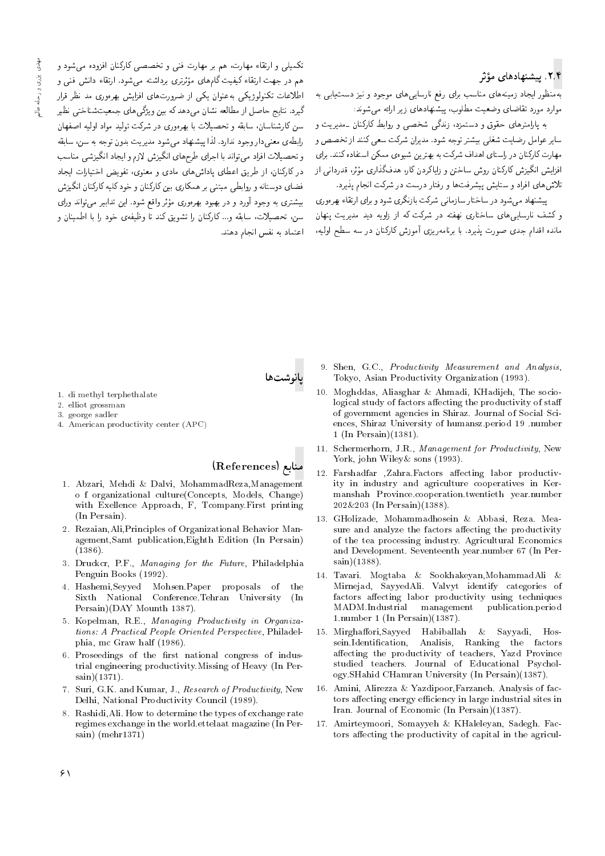# ۲.۴. پیشنهادهای مؤثر

<sub>ن</sub>همنظور ایجاد زمینههای مناسب برای رفع نارسایی۵ای موجود و نیز دست،یابی به موارد مورد تقاضای وضعیت مطلوب، پیشنهادهای زیر ارائه میشوند:<br>به پارامترهای حقوق و دستمزد، زندگی شخصبی و روابط کارکنان ـمدیریت و

سایر عوامل رضایت شغلی بیشتر توجه شود. مدیران شرکت سعی کنند از تخصص و w XYND R= Ovvm |aU CmQW u=Q}Ot "OwW xHwD QDW}@ |reW C}=[Q pt=waQ}=U |=Q@ "Ovvm xO=iDU=umtt |xw}W u} QDy@ x@ CmQW h=Oy= |=DU=Q QO u=vmQ=m CQ=yt افزایش انگیزش کارکنان روش ساختن و زایاکردن کار، هدفگذاری مؤثر، قدردانی از تلاش های افراد و ستایش پیشرفت ها و رفتار درست در شرکت انجام بذیرد.

تلاس&ی افراد و سنای*س* پیسرفت& و رفتار درست در سرتب انجام پدیرد.<br>مسلمان پیستهاد می سود در ساحبار سازمانی سرنب بازندری سود و برای ارتفاء بهرهوری<br>. و کشف نارسایی های ساختاری نهفته در شرکت که از زاویه دید مدیریت پنهان مانده اقدام جدی صورت پذیرد. با برنامهریزی آموزش کارکنان در سه سطح اولیه،

تکمیلی و ارتقاء مهارت، هم بر مهارت فنمی و تخصصی کارکنان افزوده میشود و<br>هم در جهت ارتقاء کیفیت گامهای مؤثرتری برداشته میشود. ارتقاء دانش فنی و هم در جهب ارتفاء نیفیت نامهای موتربری برداسته می سود. ارتفاء دانس قمی و<br>اسلامات کناره کو سرمنا کو است سوار الماره سود و سرمنا کشار گیرد. نتایج حاصل از مطالعه نشان می دهد که بین ویژگی های جمعیتشناختی نظیر سن كارشناسان. سابقه و تحصيلات با بهرەورى در شركت توليد مواد اوليه اصفهان رابطهي معنى دار وجود ندارد. لذا ييشنهاد مى شود مديريت بدون توجه به سن، سابقه و تحصيلات افراد مى تواند با اجراى طرح هاى انگيزش لازم و ايجاد انگيزشى مناسب در کارکنان، از طریق اعطای یاداش های مادی و معنوی، تفویض اختیارات ایجاد .<br>فضای دوستانه و روابطی میتنی بر همکاری بین کارکنان و خود کلیه کارکنان انگیزش فصای دوستانه و روابطی مبتنی بر همداری بین دارندان و حود دبیه دارندان آنگیزش<br>مسئول است از این مسئول از این مسئول است. |=Qw Ov=wD|t Q}@=OD u}= "OwW `k=w QF wt |QwxQy@ Ow@y@ QO w OQw; OwHw x@ |QDW}@ - سن، تحصیلات، سابقه و... تارتنان را سنوین تند با وظیفهی خود را با اطمینان و<br>اسماعات استفاده اعتماد به نفس انجام دهند.

پانوشتها

- 1. di methyl terphethalate
- 2. elliot grossman
- 3. george sadler
- 4. American productivity center (APC)

Aeferences) منابع

- 1. Abzari, Mehdi & Dalvi, MohammadReza,Management o f organizational culture(Concepts, Models, Change) with Exellence Approach, F, Tcompany.First printing (In Persain).
- 2. Rezaian,Ali,Principles of Organizational Behavior Management,Samt publication,Eighth Edition (In Persain) (1386).
- 3. Druckcr, P.F., Managing for the Future, Philadelphia Penguin Books (1992).
- 4. Hashemi,Seyyed Mohsen.Paper proposals of the Sixth National Conference.Tehran University (In Persain)(DAY Mounth 1387).
- 5. Kopelman, R.E., Managing Productivity in Organizations: A Practical People Oriented Perspective, Philadelphia, mc Graw half (1986).
- 6. Proseedings of the first national congress of industrial engineering productivity.Missing of Heavy (In Persain)(1371).
- 7. Suri, G.K. and Kumar, J., Research of Productivity, New Delhi, National Productivity Council (1989).
- 8. Rashidi,Ali. How to determine the types of exchange rate regimes exchange in the world.ettelaat magazine (In Persain) (mehr1371)
- 9. Shen, G.C., Productivity Measurement and Analysis, Tokyo, Asian Productivity Organization (1993).
- 10. Moghddas, Aliasghar & Ahmadi, KHadijeh, The sociological study of factors affecting the productivity of staff of government agencies in Shiraz. Journal of Social Sciences, Shiraz University of humansz.period 19 .number 1 (In Persain)(1381).
- 11. Schermerhorn, J.R., Management for Productivity, New York, john Wiley & sons (1993).
- 12. Farshadfar ,Zahra.Factors affecting labor productivity in industry and agriculture cooperatives in Kermanshah Province.cooperation.twentieth year.number 202&203 (In Persain)(1388).
- 13. GHolizade, Mohammadhosein & Abbasi, Reza. Measure and analyze the factors affecting the productivity of the tea processing industry. Agricultural Economics and Development. Seventeenth year.number 67 (In Persain)(1388).
- 14. Tavari. Mogtaba & Sookhakeyan,MohammadAli & Mirnejad, SayyedAli. Valvyt identify categories of factors affecting labor productivity using techniques MADM.Industrial management publication.period 1.number 1 (In Persain)(1387).
- 15. Mirghaffori, Sayyed Habiballah & Sayyadi, Hossein.Identication, Analisis, Ranking the factors affecting the productivity of teachers, Yazd Province studied teachers. Journal of Educational Psychology.SHahid CHamran University (In Persain)(1387).
- 16. Amini, Alirezza & Yazdipoor,Farzaneh. Analysis of factors affecting energy efficiency in large industrial sites in Iran. Journal of Economic (In Persain)(1387).
- 17. Amirteymoori, Somayyeh & KHaleleyan, Sadegh. Factors affecting the productivity of capital in the agricul-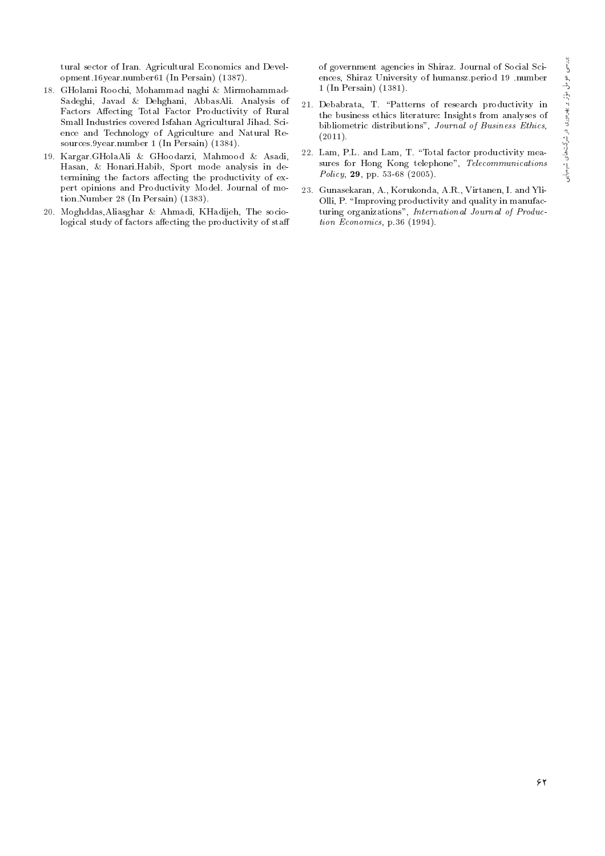tural sector of Iran. Agricultural Economics and Development.16year.number61 (In Persain) (1387).

- 18. GHolami Roochi, Mohammad naghi & Mirmohammad-Sadeghi, Javad & Dehghani, AbbasAli. Analysis of Factors Affecting Total Factor Productivity of Rural Small Industries covered Isfahan Agricultural Jihad. Science and Technology of Agriculture and Natural Resources.9year.number 1 (In Persain) (1384).
- 19. Kargar.GHolaAli & GHoodarzi, Mahmood & Asadi, Hasan, & Honari.Habib, Sport mode analysis in determining the factors affecting the productivity of expert opinions and Productivity Model. Journal of motion.Number 28 (In Persain) (1383).
- 20. Moghddas,Aliasghar & Ahmadi, KHadijeh, The sociological study of factors affecting the productivity of staff

of government agencies in Shiraz. Journal of Social Sciences, Shiraz University of humansz.period 19 .number 1 (In Persain) (1381).

- 21. Debabrata, T. \Patterns of research productivity in the business ethics literature: Insights from analyses of bibliometric distributions", Journal of Business Ethics, (2011).
- 22. Lam, P.L. and Lam, T. "Total factor productivity measures for Hong Kong telephone", Telecommunications Policy, 29, pp. 53-68 (2005).
- 23. Gunasekaran, A., Korukonda, A.R., Virtanen, I. and Yli-Olli, P. "Improving productivity and quality in manufacturing organizations", International Journal of Production Economics, p.36 (1994).